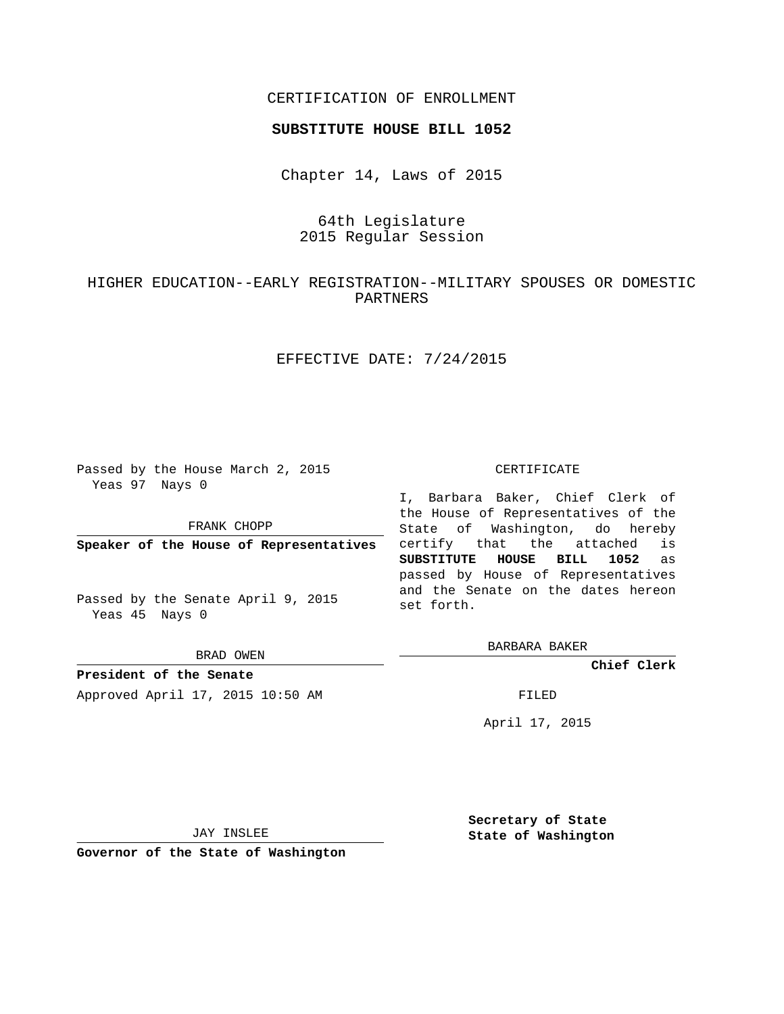## CERTIFICATION OF ENROLLMENT

#### **SUBSTITUTE HOUSE BILL 1052**

Chapter 14, Laws of 2015

## 64th Legislature 2015 Regular Session

# HIGHER EDUCATION--EARLY REGISTRATION--MILITARY SPOUSES OR DOMESTIC PARTNERS

## EFFECTIVE DATE: 7/24/2015

Passed by the House March 2, 2015 Yeas 97 Nays 0

FRANK CHOPP

**Speaker of the House of Representatives**

Passed by the Senate April 9, 2015 Yeas 45 Nays 0

BRAD OWEN

**President of the Senate** Approved April 17, 2015 10:50 AM FILED

#### CERTIFICATE

I, Barbara Baker, Chief Clerk of the House of Representatives of the State of Washington, do hereby certify that the attached is **SUBSTITUTE HOUSE BILL 1052** as passed by House of Representatives and the Senate on the dates hereon set forth.

BARBARA BAKER

**Chief Clerk**

April 17, 2015

JAY INSLEE

**Governor of the State of Washington**

**Secretary of State State of Washington**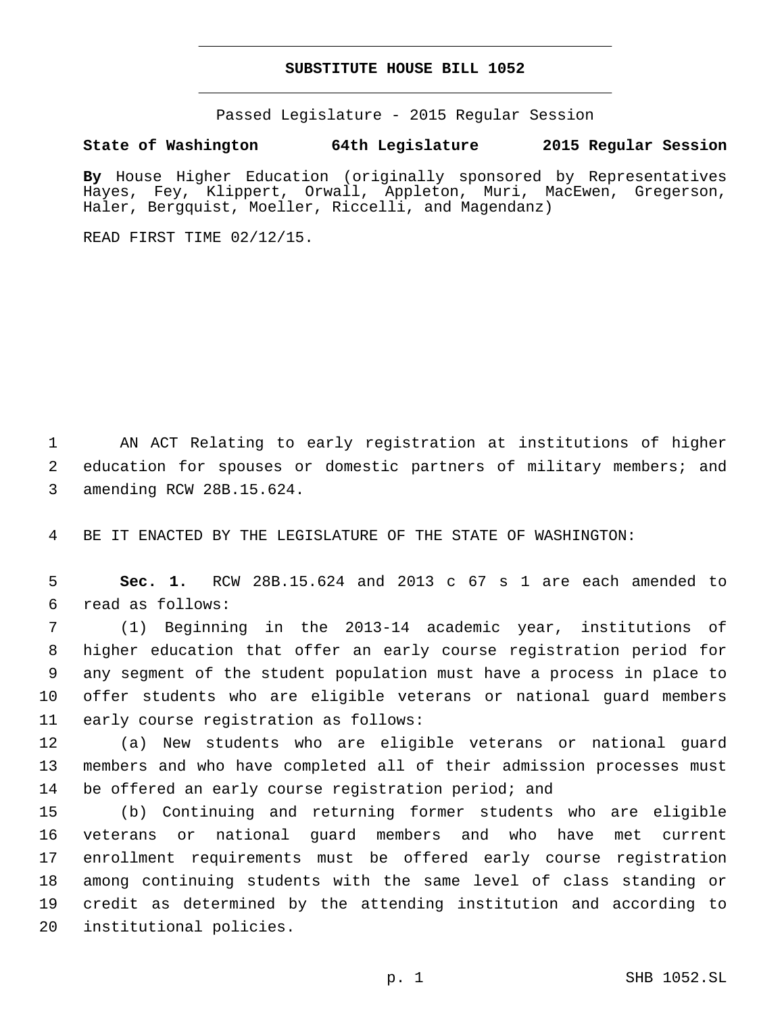## **SUBSTITUTE HOUSE BILL 1052**

Passed Legislature - 2015 Regular Session

**State of Washington 64th Legislature 2015 Regular Session**

**By** House Higher Education (originally sponsored by Representatives Hayes, Fey, Klippert, Orwall, Appleton, Muri, MacEwen, Gregerson, Haler, Bergquist, Moeller, Riccelli, and Magendanz)

READ FIRST TIME 02/12/15.

1 AN ACT Relating to early registration at institutions of higher 2 education for spouses or domestic partners of military members; and 3 amending RCW 28B.15.624.

4 BE IT ENACTED BY THE LEGISLATURE OF THE STATE OF WASHINGTON:

5 **Sec. 1.** RCW 28B.15.624 and 2013 c 67 s 1 are each amended to read as follows:6

 (1) Beginning in the 2013-14 academic year, institutions of higher education that offer an early course registration period for any segment of the student population must have a process in place to offer students who are eligible veterans or national guard members 11 early course registration as follows:

12 (a) New students who are eligible veterans or national guard 13 members and who have completed all of their admission processes must 14 be offered an early course registration period; and

 (b) Continuing and returning former students who are eligible veterans or national guard members and who have met current enrollment requirements must be offered early course registration among continuing students with the same level of class standing or credit as determined by the attending institution and according to 20 institutional policies.